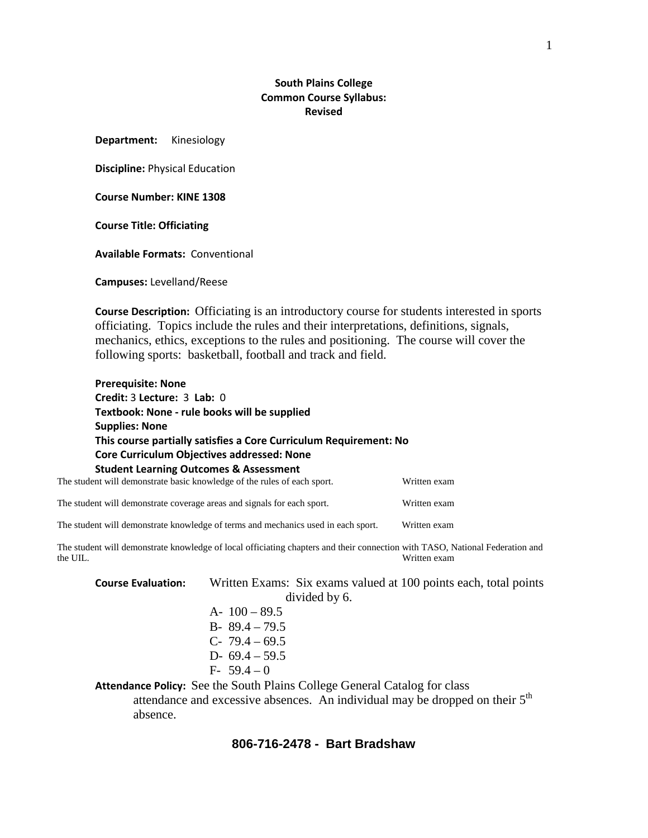## **South Plains College Common Course Syllabus: Revised**

**Department:** Kinesiology

**Discipline:** Physical Education

**Course Number: KINE 1308**

**Course Title: Officiating**

**Available Formats:** Conventional

**Campuses:** Levelland/Reese

**Course Description:** Officiating is an introductory course for students interested in sports officiating. Topics include the rules and their interpretations, definitions, signals, mechanics, ethics, exceptions to the rules and positioning. The course will cover the following sports: basketball, football and track and field.

| <b>Prerequisite: None</b>                                                                         |              |  |
|---------------------------------------------------------------------------------------------------|--------------|--|
| Credit: 3 Lecture: 3 Lab: 0                                                                       |              |  |
| Textbook: None - rule books will be supplied                                                      |              |  |
| <b>Supplies: None</b>                                                                             |              |  |
| This course partially satisfies a Core Curriculum Requirement: No                                 |              |  |
| Core Curriculum Objectives addressed: None                                                        |              |  |
| <b>Student Learning Outcomes &amp; Assessment</b>                                                 |              |  |
| The student will demonstrate basic knowledge of the rules of each sport.                          | Written exam |  |
| The student will demonstrate coverage areas and signals for each sport.                           | Written exam |  |
| The student will demonstrate knowledge of terms and mechanics used in each sport.<br>Written exam |              |  |

The student will demonstrate knowledge of local officiating chapters and their connection with TASO, National Federation and the UIL.<br>Written exam Written exam

| <b>Course Evaluation:</b> | Written Exams: Six exams valued at 100 points each, total points                 |
|---------------------------|----------------------------------------------------------------------------------|
|                           | divided by 6.                                                                    |
|                           | A- $100 - 89.5$                                                                  |
|                           | B- $89.4 - 79.5$                                                                 |
|                           | C- $79.4 - 69.5$                                                                 |
|                           | D- $69.4 - 59.5$                                                                 |
|                           | $F-59.4-0$                                                                       |
|                           | <b>Attendance Policy:</b> See the South Plains College General Catalog for class |

attendance and excessive absences. An individual may be dropped on their  $5<sup>th</sup>$ absence.

## **806-716-2478 - Bart Bradshaw**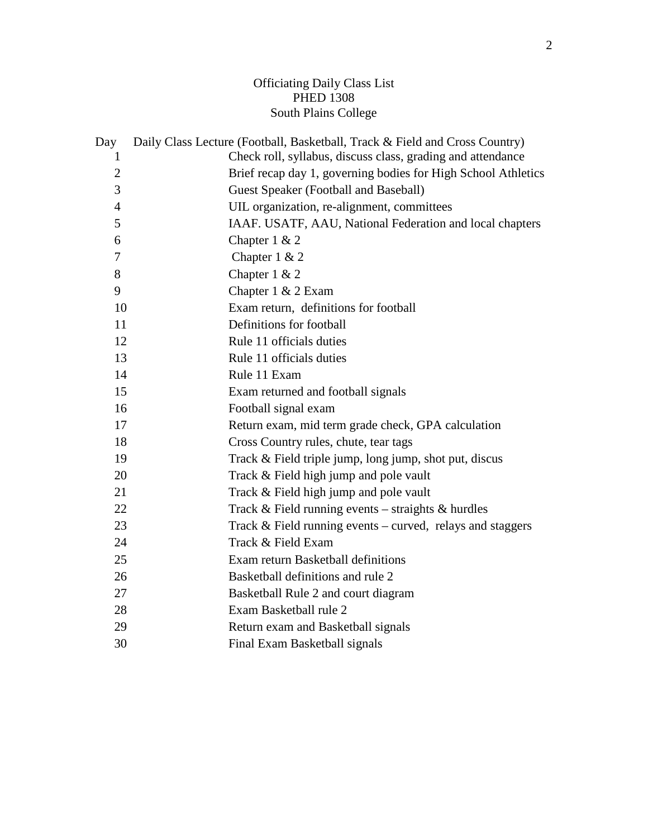## Officiating Daily Class List PHED 1308 South Plains College

| Day            | Daily Class Lecture (Football, Basketball, Track & Field and Cross Country) |
|----------------|-----------------------------------------------------------------------------|
| 1              | Check roll, syllabus, discuss class, grading and attendance                 |
| $\overline{2}$ | Brief recap day 1, governing bodies for High School Athletics               |
| 3              | Guest Speaker (Football and Baseball)                                       |
| $\overline{4}$ | UIL organization, re-alignment, committees                                  |
| 5              | IAAF. USATF, AAU, National Federation and local chapters                    |
| 6              | Chapter $1 & 2$                                                             |
| 7              | Chapter $1 & 2$                                                             |
| 8              | Chapter $1 & 2$                                                             |
| 9              | Chapter $1 \& 2$ Exam                                                       |
| 10             | Exam return, definitions for football                                       |
| 11             | Definitions for football                                                    |
| 12             | Rule 11 officials duties                                                    |
| 13             | Rule 11 officials duties                                                    |
| 14             | Rule 11 Exam                                                                |
| 15             | Exam returned and football signals                                          |
| 16             | Football signal exam                                                        |
| 17             | Return exam, mid term grade check, GPA calculation                          |
| 18             | Cross Country rules, chute, tear tags                                       |
| 19             | Track & Field triple jump, long jump, shot put, discus                      |
| 20             | Track & Field high jump and pole vault                                      |
| 21             | Track & Field high jump and pole vault                                      |
| 22             | Track $&$ Field running events – straights $&$ hurdles                      |
| 23             | Track $&$ Field running events – curved, relays and staggers                |
| 24             | Track & Field Exam                                                          |
| 25             | Exam return Basketball definitions                                          |
| 26             | Basketball definitions and rule 2                                           |
| 27             | Basketball Rule 2 and court diagram                                         |
| 28             | Exam Basketball rule 2                                                      |
| 29             | Return exam and Basketball signals                                          |
| 30             | Final Exam Basketball signals                                               |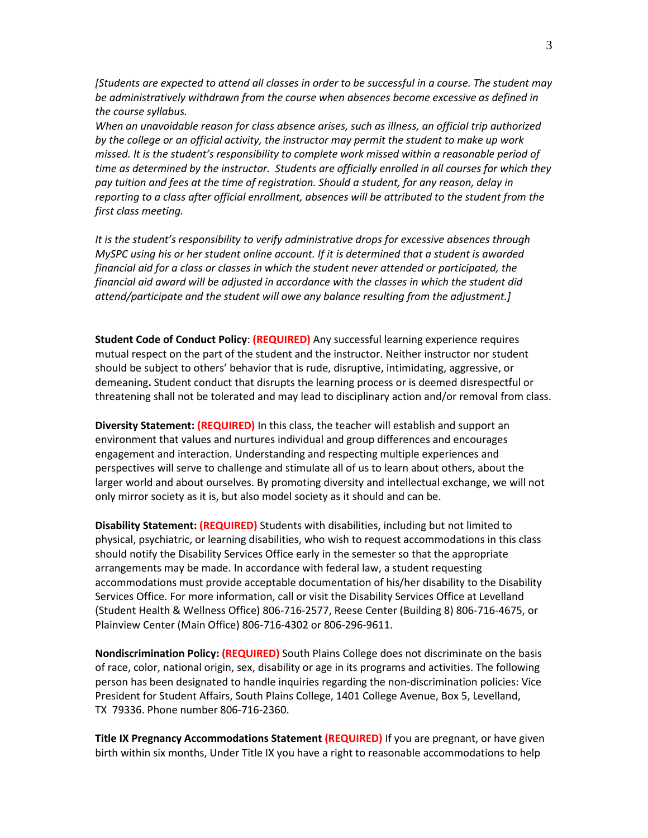*[Students are expected to attend all classes in order to be successful in a course. The student may be administratively withdrawn from the course when absences become excessive as defined in the course syllabus.*

*When an unavoidable reason for class absence arises, such as illness, an official trip authorized by the college or an official activity, the instructor may permit the student to make up work missed. It is the student's responsibility to complete work missed within a reasonable period of time as determined by the instructor. Students are officially enrolled in all courses for which they pay tuition and fees at the time of registration. Should a student, for any reason, delay in reporting to a class after official enrollment, absences will be attributed to the student from the first class meeting.*

*It is the student's responsibility to verify administrative drops for excessive absences through MySPC using his or her student online account. If it is determined that a student is awarded financial aid for a class or classes in which the student never attended or participated, the financial aid award will be adjusted in accordance with the classes in which the student did attend/participate and the student will owe any balance resulting from the adjustment.]*

**Student Code of Conduct Policy**: **(REQUIRED)** Any successful learning experience requires mutual respect on the part of the student and the instructor. Neither instructor nor student should be subject to others' behavior that is rude, disruptive, intimidating, aggressive, or demeaning**.** Student conduct that disrupts the learning process or is deemed disrespectful or threatening shall not be tolerated and may lead to disciplinary action and/or removal from class.

**Diversity Statement: (REQUIRED)** In this class, the teacher will establish and support an environment that values and nurtures individual and group differences and encourages engagement and interaction. Understanding and respecting multiple experiences and perspectives will serve to challenge and stimulate all of us to learn about others, about the larger world and about ourselves. By promoting diversity and intellectual exchange, we will not only mirror society as it is, but also model society as it should and can be.

**Disability Statement: (REQUIRED)** Students with disabilities, including but not limited to physical, psychiatric, or learning disabilities, who wish to request accommodations in this class should notify the Disability Services Office early in the semester so that the appropriate arrangements may be made. In accordance with federal law, a student requesting accommodations must provide acceptable documentation of his/her disability to the Disability Services Office. For more information, call or visit the Disability Services Office at Levelland (Student Health & Wellness Office) 806-716-2577, Reese Center (Building 8) 806-716-4675, or Plainview Center (Main Office) 806-716-4302 or 806-296-9611.

**Nondiscrimination Policy: (REQUIRED)** South Plains College does not discriminate on the basis of race, color, national origin, sex, disability or age in its programs and activities. The following person has been designated to handle inquiries regarding the non-discrimination policies: Vice President for Student Affairs, South Plains College, 1401 College Avenue, Box 5, Levelland, TX 79336. Phone number 806-716-2360.

**Title IX Pregnancy Accommodations Statement (REQUIRED)** If you are pregnant, or have given birth within six months, Under Title IX you have a right to reasonable accommodations to help